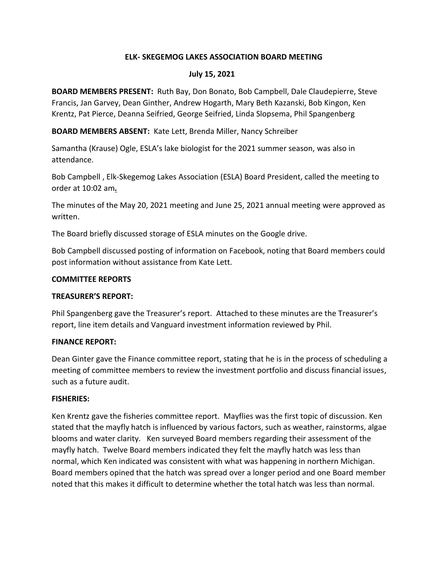### **ELK- SKEGEMOG LAKES ASSOCIATION BOARD MEETING**

#### **July 15, 2021**

**BOARD MEMBERS PRESENT:** Ruth Bay, Don Bonato, Bob Campbell, Dale Claudepierre, Steve Francis, Jan Garvey, Dean Ginther, Andrew Hogarth, Mary Beth Kazanski, Bob Kingon, Ken Krentz, Pat Pierce, Deanna Seifried, George Seifried, Linda Slopsema, Phil Spangenberg

**BOARD MEMBERS ABSENT:** Kate Lett, Brenda Miller, Nancy Schreiber

Samantha (Krause) Ogle, ESLA's lake biologist for the 2021 summer season, was also in attendance.

Bob Campbell , Elk-Skegemog Lakes Association (ESLA) Board President, called the meeting to order at 10:02 am*.*

The minutes of the May 20, 2021 meeting and June 25, 2021 annual meeting were approved as written.

The Board briefly discussed storage of ESLA minutes on the Google drive.

Bob Campbell discussed posting of information on Facebook, noting that Board members could post information without assistance from Kate Lett.

### **COMMITTEE REPORTS**

### **TREASURER'S REPORT:**

Phil Spangenberg gave the Treasurer's report. Attached to these minutes are the Treasurer's report, line item details and Vanguard investment information reviewed by Phil.

### **FINANCE REPORT:**

Dean Ginter gave the Finance committee report, stating that he is in the process of scheduling a meeting of committee members to review the investment portfolio and discuss financial issues, such as a future audit.

### **FISHERIES:**

Ken Krentz gave the fisheries committee report. Mayflies was the first topic of discussion. Ken stated that the mayfly hatch is influenced by various factors, such as weather, rainstorms, algae blooms and water clarity. Ken surveyed Board members regarding their assessment of the mayfly hatch. Twelve Board members indicated they felt the mayfly hatch was less than normal, which Ken indicated was consistent with what was happening in northern Michigan. Board members opined that the hatch was spread over a longer period and one Board member noted that this makes it difficult to determine whether the total hatch was less than normal.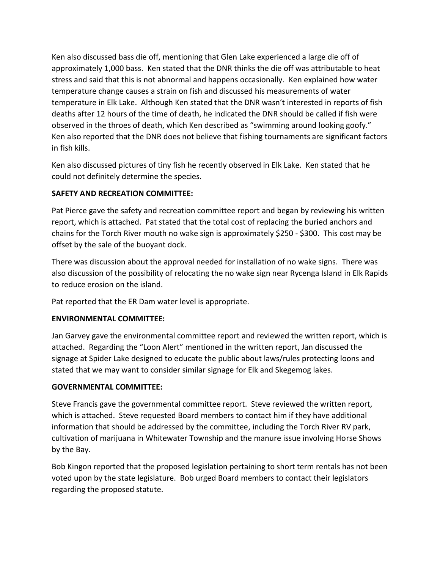Ken also discussed bass die off, mentioning that Glen Lake experienced a large die off of approximately 1,000 bass. Ken stated that the DNR thinks the die off was attributable to heat stress and said that this is not abnormal and happens occasionally. Ken explained how water temperature change causes a strain on fish and discussed his measurements of water temperature in Elk Lake. Although Ken stated that the DNR wasn't interested in reports of fish deaths after 12 hours of the time of death, he indicated the DNR should be called if fish were observed in the throes of death, which Ken described as "swimming around looking goofy." Ken also reported that the DNR does not believe that fishing tournaments are significant factors in fish kills.

Ken also discussed pictures of tiny fish he recently observed in Elk Lake. Ken stated that he could not definitely determine the species.

## **SAFETY AND RECREATION COMMITTEE:**

Pat Pierce gave the safety and recreation committee report and began by reviewing his written report, which is attached. Pat stated that the total cost of replacing the buried anchors and chains for the Torch River mouth no wake sign is approximately \$250 - \$300. This cost may be offset by the sale of the buoyant dock.

There was discussion about the approval needed for installation of no wake signs. There was also discussion of the possibility of relocating the no wake sign near Rycenga Island in Elk Rapids to reduce erosion on the island.

Pat reported that the ER Dam water level is appropriate.

# **ENVIRONMENTAL COMMITTEE:**

Jan Garvey gave the environmental committee report and reviewed the written report, which is attached. Regarding the "Loon Alert" mentioned in the written report, Jan discussed the signage at Spider Lake designed to educate the public about laws/rules protecting loons and stated that we may want to consider similar signage for Elk and Skegemog lakes.

# **GOVERNMENTAL COMMITTEE:**

Steve Francis gave the governmental committee report. Steve reviewed the written report, which is attached. Steve requested Board members to contact him if they have additional information that should be addressed by the committee, including the Torch River RV park, cultivation of marijuana in Whitewater Township and the manure issue involving Horse Shows by the Bay.

Bob Kingon reported that the proposed legislation pertaining to short term rentals has not been voted upon by the state legislature. Bob urged Board members to contact their legislators regarding the proposed statute.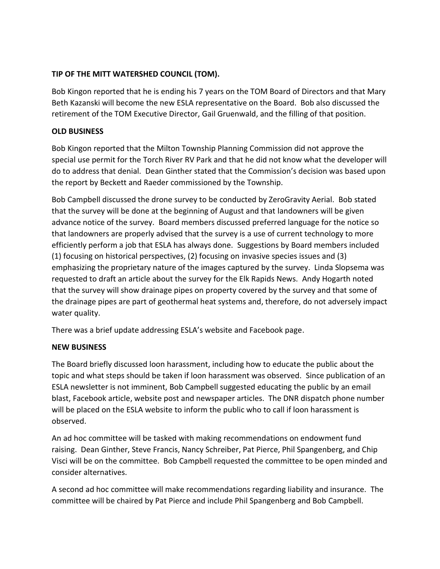## **TIP OF THE MITT WATERSHED COUNCIL (TOM).**

Bob Kingon reported that he is ending his 7 years on the TOM Board of Directors and that Mary Beth Kazanski will become the new ESLA representative on the Board. Bob also discussed the retirement of the TOM Executive Director, Gail Gruenwald, and the filling of that position.

### **OLD BUSINESS**

Bob Kingon reported that the Milton Township Planning Commission did not approve the special use permit for the Torch River RV Park and that he did not know what the developer will do to address that denial. Dean Ginther stated that the Commission's decision was based upon the report by Beckett and Raeder commissioned by the Township.

Bob Campbell discussed the drone survey to be conducted by ZeroGravity Aerial. Bob stated that the survey will be done at the beginning of August and that landowners will be given advance notice of the survey. Board members discussed preferred language for the notice so that landowners are properly advised that the survey is a use of current technology to more efficiently perform a job that ESLA has always done. Suggestions by Board members included (1) focusing on historical perspectives, (2) focusing on invasive species issues and (3) emphasizing the proprietary nature of the images captured by the survey. Linda Slopsema was requested to draft an article about the survey for the Elk Rapids News. Andy Hogarth noted that the survey will show drainage pipes on property covered by the survey and that some of the drainage pipes are part of geothermal heat systems and, therefore, do not adversely impact water quality.

There was a brief update addressing ESLA's website and Facebook page.

### **NEW BUSINESS**

The Board briefly discussed loon harassment, including how to educate the public about the topic and what steps should be taken if loon harassment was observed. Since publication of an ESLA newsletter is not imminent, Bob Campbell suggested educating the public by an email blast, Facebook article, website post and newspaper articles. The DNR dispatch phone number will be placed on the ESLA website to inform the public who to call if loon harassment is observed.

An ad hoc committee will be tasked with making recommendations on endowment fund raising. Dean Ginther, Steve Francis, Nancy Schreiber, Pat Pierce, Phil Spangenberg, and Chip Visci will be on the committee. Bob Campbell requested the committee to be open minded and consider alternatives.

A second ad hoc committee will make recommendations regarding liability and insurance. The committee will be chaired by Pat Pierce and include Phil Spangenberg and Bob Campbell.